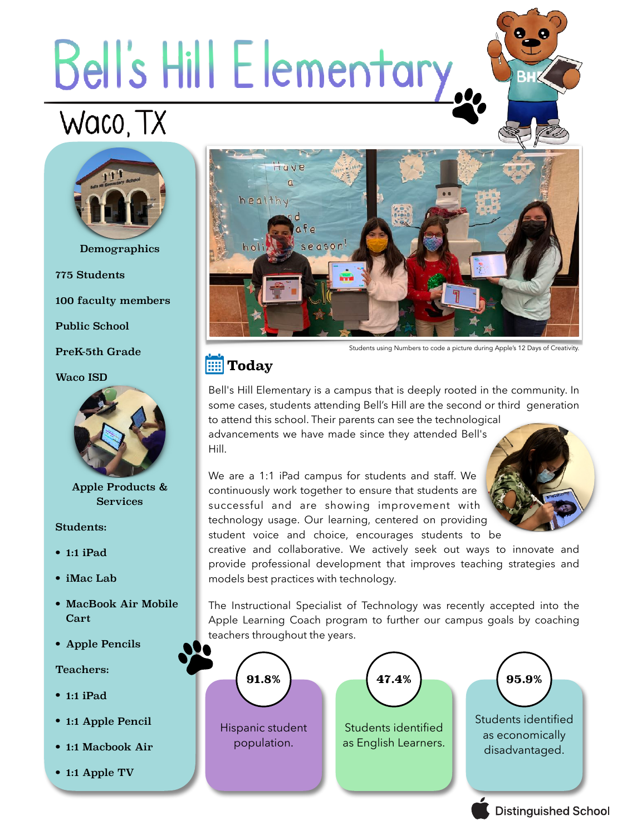# Bell's Hill Elementary.

# Waco, TX



Demographics

775 Students

100 faculty members

Public School

PreK-5th Grade

#### Waco ISD



Apple Products & Services

#### Students:

- 1:1 iPad
- iMac Lab
- MacBook Air Mobile Cart
- Apple Pencils

#### Teachers:

- 1:1 iPad
- 1:1 Apple Pencil
- 1:1 Macbook Air
- 1:1 Apple TV



Students using Numbers to code a picture during Apple's 12 Days of Creativity.

# **Today**

Bell's Hill Elementary is a campus that is deeply rooted in the community. In some cases, students attending Bell's Hill are the second or third generation to attend this school. Their parents can see the technological advancements we have made since they attended Bell's

Hill.

We are a 1:1 iPad campus for students and staff. We continuously work together to ensure that students are successful and are showing improvement with technology usage. Our learning, centered on providing student voice and choice, encourages students to be



**Distinguished School** 

creative and collaborative. We actively seek out ways to innovate and provide professional development that improves teaching strategies and models best practices with technology.

The Instructional Specialist of Technology was recently accepted into the Apple Learning Coach program to further our campus goals by coaching teachers throughout the years.